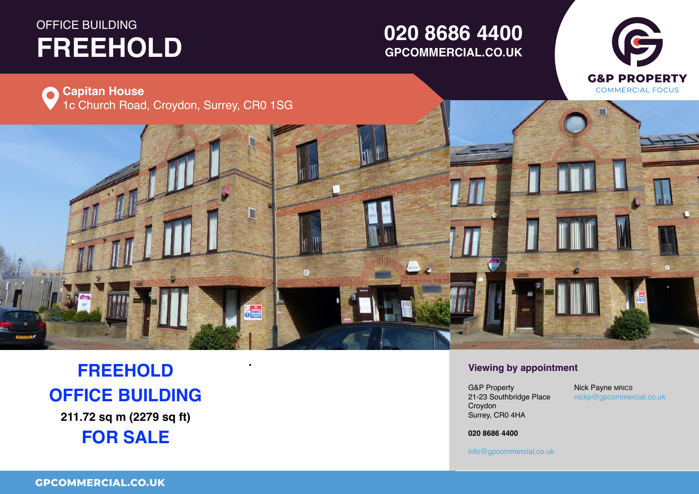# **OFFICE BUILDING FREEHOLD TO LET**

## **01234 567 890 GPCOMMERCIAL.CO.UK020 8686 4400**





# **FREEHOLD OFFICE BUILDING**

**211.72 sq m (2279 sq ft) FOR SALE**

### *•* **Viewing by appointment**

Surrey, CR0 4HA  $\ldots$ ,  $\ldots$ UB Property<br>21-23 Southbridge Place Property Croydon G&P Property

 $\mathsf{nickp}@\mathsf{g} \mathsf{p} \mathsf{commercial.co.uk}$ Nick Payne MRICS

Town **01234 567 890 020 8686 4400**

County, Postcode

**01234 567 890** info@gpcommercial.co.uk info@gpcommercial.co.uk

info@gpcommercial.co.uk